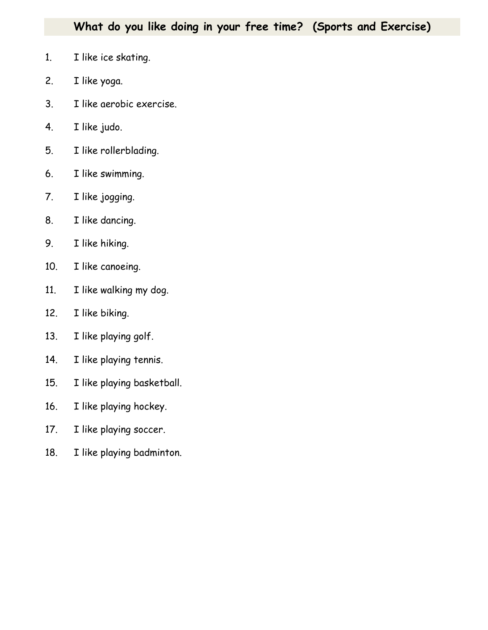## **What do you like doing in your free time? (Sports and Exercise)**

- 1. I like ice skating.
- 2. I like yoga.
- 3. I like aerobic exercise.
- 4. I like judo.
- 5. I like rollerblading.
- 6. I like swimming.
- 7. I like jogging.
- 8. I like dancing.
- 9. I like hiking.
- 10. I like canoeing.
- 11. I like walking my dog.
- 12. I like biking.
- 13. I like playing golf.
- 14. I like playing tennis.
- 15. I like playing basketball.
- 16. I like playing hockey.
- 17. I like playing soccer.
- 18. I like playing badminton.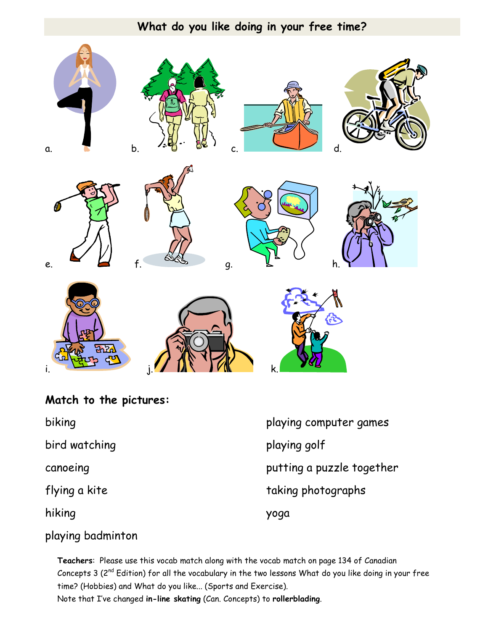## **What do you like doing in your free time?**



## **Match to the pictures:**

biking

bird watching

canoeing

flying a kite

hiking

playing badminton

playing computer games playing golf putting a puzzle together taking photographs yoga

**Teachers**: Please use this vocab match along with the vocab match on page 134 of Canadian Concepts 3 (2<sup>nd</sup> Edition) for all the vocabulary in the two lessons What do you like doing in your free time? (Hobbies) and What do you like... (Sports and Exercise). Note that I've changed **in-line skating** (Can. Concepts) to **rollerblading**.